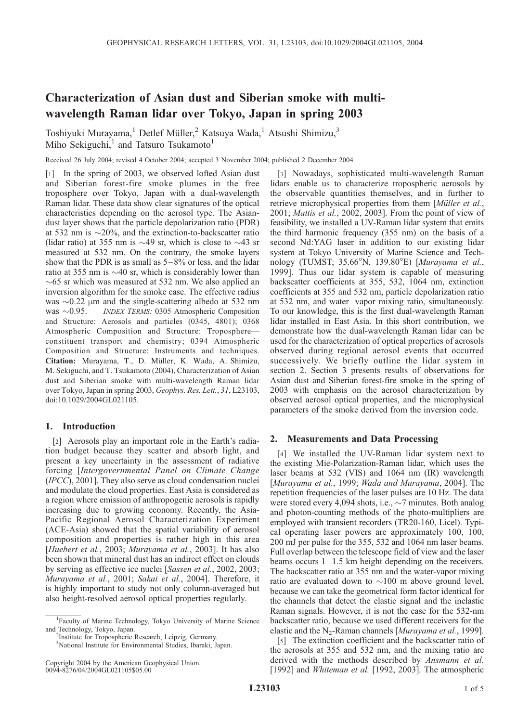# Characterization of Asian dust and Siberian smoke with multiwavelength Raman lidar over Tokyo, Japan in spring 2003

Toshiyuki Murayama,<sup>1</sup> Detlef Müller,<sup>2</sup> Katsuya Wada,<sup>1</sup> Atsushi Shimizu,<sup>3</sup> Miho Sekiguchi,<sup>1</sup> and Tatsuro Tsukamoto<sup>1</sup>

Received 26 July 2004; revised 4 October 2004; accepted 3 November 2004; published 2 December 2004.

[1] In the spring of 2003, we observed lofted Asian dust and Siberian forest-fire smoke plumes in the free troposphere over Tokyo, Japan with a dual-wavelength Raman lidar. These data show clear signatures of the optical characteristics depending on the aerosol type. The Asiandust layer shows that the particle depolarization ratio (PDR) at 532 nm is  $\sim$ 20%, and the extinction-to-backscatter ratio (lidar ratio) at 355 nm is  $\sim$ 49 sr, which is close to  $\sim$ 43 sr measured at 532 nm. On the contrary, the smoke layers show that the PDR is as small as  $5-8\%$  or less, and the lidar ratio at 355 nm is  $\sim$ 40 sr, which is considerably lower than  $\sim$  65 sr which was measured at 532 nm. We also applied an inversion algorithm for the smoke case. The effective radius was  $\sim$ 0.22  $\mu$ m and the single-scattering albedo at 532 nm<br>was  $\sim$ 0.95. *INDEX TERMS*: 0305 Atmospheric Composition INDEX TERMS: 0305 Atmospheric Composition and Structure: Aerosols and particles (0345, 4801); 0368 Atmospheric Composition and Structure: Troposphere constituent transport and chemistry; 0394 Atmospheric Composition and Structure: Instruments and techniques. Citation: Murayama, T., D. Müller, K. Wada, A. Shimizu, M. Sekiguchi, and T. Tsukamoto (2004), Characterization of Asian dust and Siberian smoke with multi-wavelength Raman lidar over Tokyo, Japan in spring 2003, Geophys. Res. Lett., 31, L23103, doi:10.1029/2004GL021105.

# 1. Introduction

[2] Aerosols play an important role in the Earth's radiation budget because they scatter and absorb light, and present a key uncertainty in the assessment of radiative forcing [Intergovernmental Panel on Climate Change (IPCC), 2001]. They also serve as cloud condensation nuclei and modulate the cloud properties. East Asia is considered as a region where emission of anthropogenic aerosols is rapidly increasing due to growing economy. Recently, the Asia-Pacific Regional Aerosol Characterization Experiment (ACE-Asia) showed that the spatial variability of aerosol composition and properties is rather high in this area [Huebert et al., 2003; Murayama et al., 2003]. It has also been shown that mineral dust has an indirect effect on clouds by serving as effective ice nuclei [Sassen et al., 2002, 2003; Murayama et al., 2001; Sakai et al., 2004]. Therefore, it is highly important to study not only column-averaged but also height-resolved aerosol optical properties regularly.

[3] Nowadays, sophisticated multi-wavelength Raman lidars enable us to characterize tropospheric aerosols by the observable quantities themselves, and in further to retrieve microphysical properties from them [Müller et al., 2001; Mattis et al., 2002, 2003]. From the point of view of feasibility, we installed a UV-Raman lidar system that emits the third harmonic frequency (355 nm) on the basis of a second Nd:YAG laser in addition to our existing lidar system at Tokyo University of Marine Science and Technology (TUMST; 35.66°N, 139.80°E) [*Murayama et al.*, 1999]. Thus our lidar system is capable of measuring backscatter coefficients at 355, 532, 1064 nm, extinction coefficients at 355 and 532 nm, particle depolarization ratio at 532 nm, and water – vapor mixing ratio, simultaneously. To our knowledge, this is the first dual-wavelength Raman lidar installed in East Asia. In this short contribution, we demonstrate how the dual-wavelength Raman lidar can be used for the characterization of optical properties of aerosols observed during regional aerosol events that occurred successively. We briefly outline the lidar system in section 2. Section 3 presents results of observations for Asian dust and Siberian forest-fire smoke in the spring of 2003 with emphasis on the aerosol characterization by observed aerosol optical properties, and the microphysical parameters of the smoke derived from the inversion code.

## 2. Measurements and Data Processing

[4] We installed the UV-Raman lidar system next to the existing Mie-Polarization-Raman lidar, which uses the laser beams at 532 (VIS) and 1064 nm (IR) wavelength [Murayama et al., 1999; Wada and Murayama, 2004]. The repetition frequencies of the laser pulses are 10 Hz. The data were stored every 4,094 shots, i.e.,  $\sim$ 7 minutes. Both analog and photon-counting methods of the photo-multipliers are employed with transient recorders (TR20-160, Licel). Typical operating laser powers are approximately 100, 100, 200 mJ per pulse for the 355, 532 and 1064 nm laser beams. Full overlap between the telescope field of view and the laser beams occurs  $1 - 1.5$  km height depending on the receivers. The backscatter ratio at 355 nm and the water-vapor mixing ratio are evaluated down to  $\sim$ 100 m above ground level, because we can take the geometrical form factor identical for the channels that detect the elastic signal and the inelastic Raman signals. However, it is not the case for the 532-nm backscatter ratio, because we used different receivers for the elastic and the N<sub>2</sub>-Raman channels [*Murayama et al.*, 1999].

[5] The extinction coefficient and the backscatter ratio of the aerosols at 355 and 532 nm, and the mixing ratio are derived with the methods described by Ansmann et al. [1992] and Whiteman et al. [1992, 2003]. The atmospheric

<sup>&</sup>lt;sup>1</sup>Faculty of Marine Technology, Tokyo University of Marine Science and Technology, Tokyo, Japan. <sup>2</sup>

<sup>&</sup>lt;sup>2</sup>Institute for Tropospheric Research, Leipzig, Germany.

<sup>3</sup> National Institute for Environmental Studies, Ibaraki, Japan.

Copyright 2004 by the American Geophysical Union. 0094-8276/04/2004GL021105\$05.00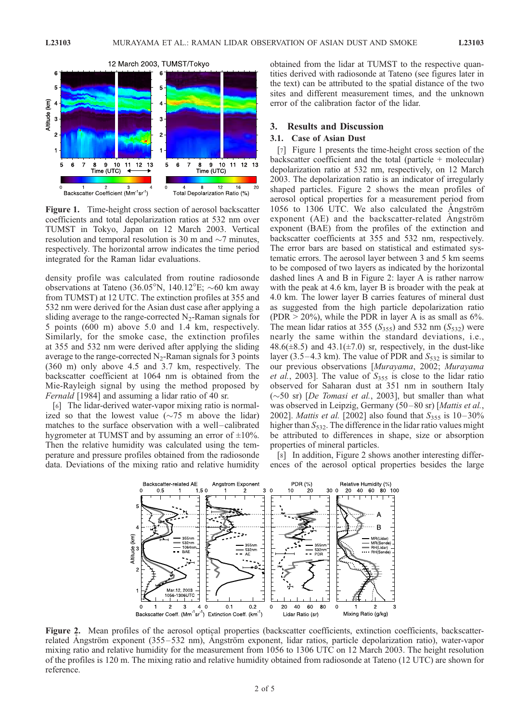

Figure 1. Time-height cross section of aerosol backscatter coefficients and total depolarization ratios at 532 nm over TUMST in Tokyo, Japan on 12 March 2003. Vertical resolution and temporal resolution is 30 m and  $\sim$ 7 minutes, respectively. The horizontal arrow indicates the time period integrated for the Raman lidar evaluations.

density profile was calculated from routine radiosonde observations at Tateno (36.05°N, 140.12°E;  $\sim$ 60 km away from TUMST) at 12 UTC. The extinction profiles at 355 and 532 nm were derived for the Asian dust case after applying a sliding average to the range-corrected  $N<sub>2</sub>$ -Raman signals for 5 points (600 m) above 5.0 and 1.4 km, respectively. Similarly, for the smoke case, the extinction profiles at 355 and 532 nm were derived after applying the sliding average to the range-corrected  $N_2$ -Raman signals for 3 points (360 m) only above 4.5 and 3.7 km, respectively. The backscatter coefficient at 1064 nm is obtained from the Mie-Rayleigh signal by using the method proposed by Fernald [1984] and assuming a lidar ratio of 40 sr.

[6] The lidar-derived water-vapor mixing ratio is normalized so that the lowest value  $(\sim 75 \text{ m})$  above the lidar) matches to the surface observation with a well-calibrated hygrometer at TUMST and by assuming an error of  $\pm 10\%$ . Then the relative humidity was calculated using the temperature and pressure profiles obtained from the radiosonde data. Deviations of the mixing ratio and relative humidity obtained from the lidar at TUMST to the respective quantities derived with radiosonde at Tateno (see figures later in the text) can be attributed to the spatial distance of the two sites and different measurement times, and the unknown error of the calibration factor of the lidar.

#### 3. Results and Discussion

## 3.1. Case of Asian Dust

[7] Figure 1 presents the time-height cross section of the backscatter coefficient and the total (particle  $+$  molecular) depolarization ratio at 532 nm, respectively, on 12 March 2003. The depolarization ratio is an indicator of irregularly shaped particles. Figure 2 shows the mean profiles of aerosol optical properties for a measurement period from 1056 to 1306 UTC. We also calculated the Angström exponent (AE) and the backscatter-related Angström exponent (BAE) from the profiles of the extinction and backscatter coefficients at 355 and 532 nm, respectively. The error bars are based on statistical and estimated systematic errors. The aerosol layer between 3 and 5 km seems to be composed of two layers as indicated by the horizontal dashed lines A and B in Figure 2: layer A is rather narrow with the peak at 4.6 km, layer B is broader with the peak at 4.0 km. The lower layer B carries features of mineral dust as suggested from the high particle depolarization ratio (PDR  $>$  20%), while the PDR in layer A is as small as 6%. The mean lidar ratios at 355 ( $S<sub>355</sub>$ ) and 532 nm ( $S<sub>532</sub>$ ) were nearly the same within the standard deviations, i.e., 48.6( $\pm$ 8.5) and 43.1( $\pm$ 7.0) sr, respectively, in the dust-like layer (3.5–4.3 km). The value of PDR and  $S<sub>532</sub>$  is similar to our previous observations [Murayama, 2002; Murayama *et al.*, 2003]. The value of  $S_{355}$  is close to the lidar ratio observed for Saharan dust at 351 nm in southern Italy  $(\sim 50 \text{ sr})$  [De Tomasi et al., 2003], but smaller than what was observed in Leipzig, Germany (50–80 sr) [Mattis et al., 2002]. *Mattis et al.* [2002] also found that  $S_{355}$  is 10–30% higher than  $S_{532}$ . The difference in the lidar ratio values might be attributed to differences in shape, size or absorption properties of mineral particles.

[8] In addition, Figure 2 shows another interesting differences of the aerosol optical properties besides the large



Figure 2. Mean profiles of the aerosol optical properties (backscatter coefficients, extinction coefficients, backscatterrelated Angström exponent (355–532 nm), Angström exponent, lidar ratios, particle depolarization ratio), water-vapor mixing ratio and relative humidity for the measurement from 1056 to 1306 UTC on 12 March 2003. The height resolution of the profiles is 120 m. The mixing ratio and relative humidity obtained from radiosonde at Tateno (12 UTC) are shown for reference.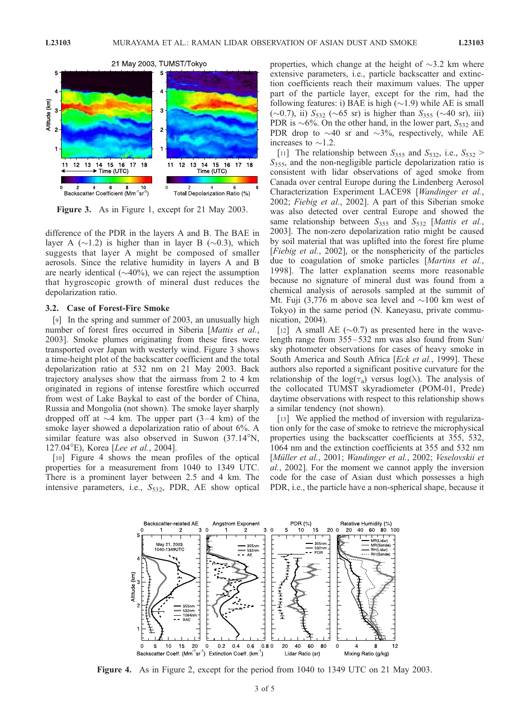

Figure 3. As in Figure 1, except for 21 May 2003.

difference of the PDR in the layers A and B. The BAE in layer A ( $\sim$ 1.2) is higher than in layer B ( $\sim$ 0.3), which suggests that layer A might be composed of smaller aerosols. Since the relative humidity in layers A and B are nearly identical  $(\sim 40\%)$ , we can reject the assumption that hygroscopic growth of mineral dust reduces the depolarization ratio.

#### 3.2. Case of Forest-Fire Smoke

[9] In the spring and summer of 2003, an unusually high number of forest fires occurred in Siberia [Mattis et al., 2003]. Smoke plumes originating from these fires were transported over Japan with westerly wind. Figure 3 shows a time-height plot of the backscatter coefficient and the total depolarization ratio at 532 nm on 21 May 2003. Back trajectory analyses show that the airmass from 2 to 4 km originated in regions of intense forestfire which occurred from west of Lake Baykal to east of the border of China, Russia and Mongolia (not shown). The smoke layer sharply dropped off at  $\sim$ 4 km. The upper part (3–4 km) of the smoke layer showed a depolarization ratio of about 6%. A similar feature was also observed in Suwon  $(37.14^{\circ}N,$ 127.04°E), Korea [Lee et al., 2004].

[10] Figure 4 shows the mean profiles of the optical properties for a measurement from 1040 to 1349 UTC. There is a prominent layer between 2.5 and 4 km. The intensive parameters, i.e.,  $S<sub>532</sub>$ , PDR, AE show optical properties, which change at the height of  $\sim$ 3.2 km where extensive parameters, i.e., particle backscatter and extinction coefficients reach their maximum values. The upper part of the particle layer, except for the rim, had the following features: i) BAE is high  $(\sim 1.9)$  while AE is small  $(\sim 0.7)$ , ii)  $S_{532}$  ( $\sim 65$  sr) is higher than  $S_{355}$  ( $\sim 40$  sr), iii) PDR is  $\sim 6\%$ . On the other hand, in the lower part,  $S_{532}$  and PDR drop to  $\sim$  40 sr and  $\sim$ 3%, respectively, while AE increases to  $\sim$ 1.2.

[11] The relationship between  $S_{355}$  and  $S_{532}$ , i.e.,  $S_{532}$  >  $S<sub>355</sub>$ , and the non-negligible particle depolarization ratio is consistent with lidar observations of aged smoke from Canada over central Europe during the Lindenberg Aerosol Characterization Experiment LACE98 [Wandinger et al., 2002; Fiebig et al., 2002]. A part of this Siberian smoke was also detected over central Europe and showed the same relationship between  $S_{355}$  and  $S_{532}$  [Mattis et al., 2003]. The non-zero depolarization ratio might be caused by soil material that was uplifted into the forest fire plume [Fiebig et al., 2002], or the nonsphericity of the particles due to coagulation of smoke particles [Martins et al., 1998]. The latter explanation seems more reasonable because no signature of mineral dust was found from a chemical analysis of aerosols sampled at the summit of Mt. Fuji (3,776 m above sea level and  $\sim$ 100 km west of Tokyo) in the same period (N. Kaneyasu, private communication, 2004).

[12] A small AE  $(\sim 0.7)$  as presented here in the wavelength range from 355– 532 nm was also found from Sun/ sky photometer observations for cases of heavy smoke in South America and South Africa [Eck et al., 1999]. These authors also reported a significant positive curvature for the relationship of the  $log(\tau_a)$  versus  $log(\lambda)$ . The analysis of the collocated TUMST skyradiometer (POM-01, Prede) daytime observations with respect to this relationship shows a similar tendency (not shown).

[13] We applied the method of inversion with regularization only for the case of smoke to retrieve the microphysical properties using the backscatter coefficients at 355, 532, 1064 nm and the extinction coefficients at 355 and 532 nm [Müller et al., 2001; Wandinger et al., 2002; Veselovskii et al., 2002]. For the moment we cannot apply the inversion code for the case of Asian dust which possesses a high PDR, i.e., the particle have a non-spherical shape, because it



Figure 4. As in Figure 2, except for the period from 1040 to 1349 UTC on 21 May 2003.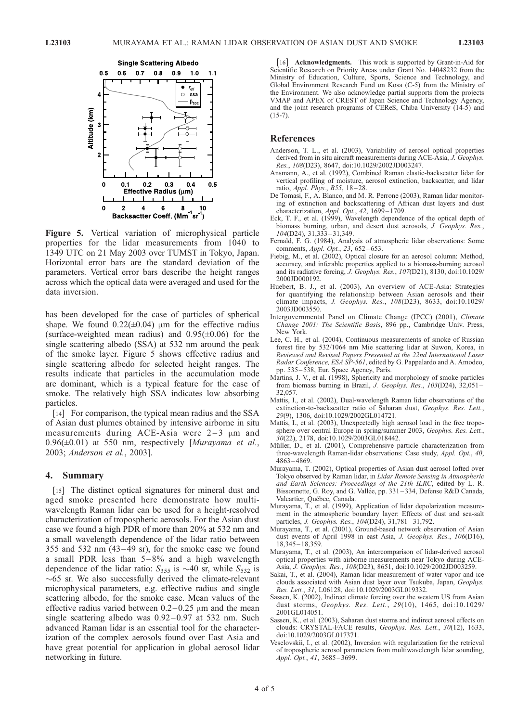

Figure 5. Vertical variation of microphysical particle properties for the lidar measurements from 1040 to 1349 UTC on 21 May 2003 over TUMST in Tokyo, Japan. Horizontal error bars are the standard deviation of the parameters. Vertical error bars describe the height ranges across which the optical data were averaged and used for the data inversion.

has been developed for the case of particles of spherical shape. We found  $0.22(\pm 0.04)$  µm for the effective radius (surface-weighted mean radius) and  $0.95(\pm 0.06)$  for the single scattering albedo (SSA) at 532 nm around the peak of the smoke layer. Figure 5 shows effective radius and single scattering albedo for selected height ranges. The results indicate that particles in the accumulation mode are dominant, which is a typical feature for the case of smoke. The relatively high SSA indicates low absorbing particles.

[14] For comparison, the typical mean radius and the SSA of Asian dust plumes obtained by intensive airborne in situ measurements during ACE-Asia were  $2-3 \mu m$  and  $0.96(\pm 0.01)$  at 550 nm, respectively [Murayama et al., 2003; Anderson et al., 2003].

### 4. Summary

[15] The distinct optical signatures for mineral dust and aged smoke presented here demonstrate how multiwavelength Raman lidar can be used for a height-resolved characterization of tropospheric aerosols. For the Asian dust case we found a high PDR of more than 20% at 532 nm and a small wavelength dependence of the lidar ratio between 355 and 532 nm  $(43-49 \text{ sr})$ , for the smoke case we found a small PDR less than  $5-8\%$  and a high wavelength dependence of the lidar ratio:  $S_{355}$  is  $\sim$ 40 sr, while  $S_{532}$  is  $\sim 65$  sr. We also successfully derived the climate-relevant microphysical parameters, e.g. effective radius and single scattering albedo, for the smoke case. Mean values of the effective radius varied between  $0.2-0.25$  µm and the mean single scattering albedo was  $0.92 - 0.97$  at 532 nm. Such advanced Raman lidar is an essential tool for the characterization of the complex aerosols found over East Asia and have great potential for application in global aerosol lidar networking in future.

[16] **Acknowledgments.** This work is supported by Grant-in-Aid for Scientific Research on Priority Areas under Grant No. 14048232 from the Ministry of Education, Culture, Sports, Science and Technology, and Global Environment Research Fund on Kosa (C-5) from the Ministry of the Environment. We also acknowledge partial supports from the projects VMAP and APEX of CREST of Japan Science and Technology Agency, and the joint research programs of CEReS, Chiba University (14-5) and  $(15-7)$ .

## References

- Anderson, T. L., et al. (2003), Variability of aerosol optical properties derived from in situ aircraft measurements during ACE-Asia, J. Geophys. Res., 108(D23), 8647, doi:10.1029/2002JD003247.
- Ansmann, A., et al. (1992), Combined Raman elastic-backscatter lidar for vertical profiling of moisture, aerosol extinction, backscatter, and lidar ratio, Appl. Phys., B55, 18-28.
- De Tomasi, F., A. Blanco, and M. R. Perrone (2003), Raman lidar monitoring of extinction and backscattering of African dust layers and dust characterization, Appl. Opt., 42, 1699 – 1709.
- Eck, T. F., et al. (1999), Wavelength dependence of the optical depth of biomass burning, urban, and desert dust aerosols, J. Geophys. Res., 104(D24), 31,333 – 31,349.
- Fernald, F. G. (1984), Analysis of atmospheric lidar observations: Some comments, Appl. Opt., 23, 652-653.
- Fiebig, M., et al. (2002), Optical closure for an aerosol column: Method, accuracy, and inferable properties applied to a biomass-burning aerosol and its radiative forcing, J. Geophys. Res., 107(D21), 8130, doi:10.1029/ 2000JD000192.
- Huebert, B. J., et al. (2003), An overview of ACE-Asia: Strategies for quantifying the relationship between Asian aerosols and their climate impacts, J. Geophys. Res., 108(D23), 8633, doi:10.1029/ 2003JD003550.
- Intergovernmental Panel on Climate Change (IPCC) (2001), Climate Change 2001: The Scientific Basis, 896 pp., Cambridge Univ. Press, New York.
- Lee, C. H., et al. (2004), Continuous measurements of smoke of Russian forest fire by 532/1064 nm Mie scattering lidar at Suwon, Korea, in Reviewed and Revised Papers Presented at the 22nd International Laser Radar Conference, ESA SP-561, edited by G. Pappalardo and A. Amodeo, pp. 535 – 538, Eur. Space Agency, Paris.
- Martins, J. V., et al. (1998), Sphericity and morphology of smoke particles from biomass burning in Brazil, J. Geophys. Res.,  $103(D24)$ ,  $32,051$  – 32,057.
- Mattis, I., et al. (2002), Dual-wavelength Raman lidar observations of the extinction-to-backscatter ratio of Saharan dust, Geophys. Res. Lett., 29(9), 1306, doi:10.1029/2002GL014721.
- Mattis, I., et al. (2003), Unexpectedly high aerosol load in the free troposphere over central Europe in spring/summer 2003, Geophys. Res. Lett.,  $30(22)$ , 2178, doi:10.1029/2003GL018442.
- Müller, D., et al. (2001), Comprehensive particle characterization from three-wavelength Raman-lidar observations: Case study, Appl. Opt., 40, 4863 – 4869.
- Murayama, T. (2002), Optical properties of Asian dust aerosol lofted over Tokyo observed by Raman lidar, in Lidar Remote Sensing in Atmospheric and Earth Sciences: Proceedings of the 21th ILRC, edited by L. R. Bissonnette, G. Roy, and G. Vallée, pp. 331 – 334, Defense R&D Canada, Valcartier, Québec, Canada.
- Murayama, T., et al. (1999), Application of lidar depolarization measurement in the atmospheric boundary layer: Effects of dust and sea-salt particles, *J. Geophys. Res.*, 104(D24), 31,781-31,792.
- Murayama, T., et al. (2001), Ground-based network observation of Asian dust events of April 1998 in east Asia, J. Geophys. Res., 106(D16), 18,345 – 18,359.
- Murayama, T., et al. (2003), An intercomparison of lidar-derived aerosol optical properties with airborne measurements near Tokyo during ACE-Asia, J. Geophys. Res., 108(D23), 8651, doi:10.1029/2002JD003259.
- Sakai, T., et al. (2004), Raman lidar measurement of water vapor and ice clouds associated with Asian dust layer over Tsukuba, Japan, Geophys. Res. Lett., 31, L06128, doi:10.1029/2003GL019332.
- Sassen, K. (2002), Indirect climate forcing over the western US from Asian dust storms, Geophys. Res. Lett., 29(10), 1465, doi:10.1029/ 2001GL014051.
- Sassen, K., et al. (2003), Saharan dust storms and indirect aerosol effects on clouds: CRYSTAL-FACE results, Geophys. Res. Lett., 30(12), 1633, doi:10.1029/2003GL017371.
- Veselovskii, I., et al. (2002), Inversion with regularization for the retrieval of tropospheric aerosol parameters from multiwavelength lidar sounding, Appl. Opt., 41, 3685 – 3699.